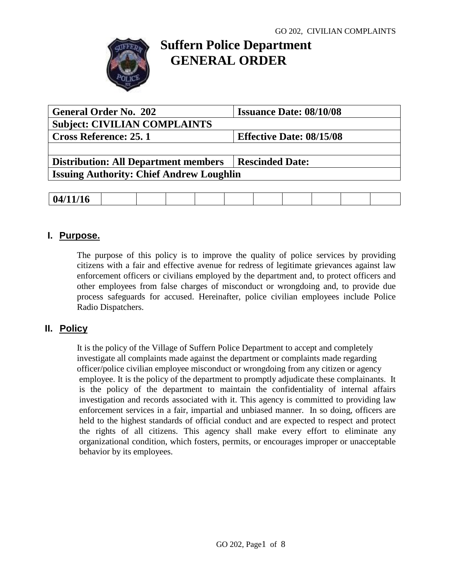

# **Suffern Police Department GENERAL ORDER**

| <b>General Order No. 202</b>                    | <b>Issuance Date: 08/10/08</b>  |  |
|-------------------------------------------------|---------------------------------|--|
| <b>Subject: CIVILIAN COMPLAINTS</b>             |                                 |  |
| <b>Cross Reference: 25.1</b>                    | <b>Effective Date: 08/15/08</b> |  |
|                                                 |                                 |  |
| <b>Distribution: All Department members</b>     | <b>Rescinded Date:</b>          |  |
| <b>Issuing Authority: Chief Andrew Loughlin</b> |                                 |  |
|                                                 |                                 |  |

| $\rightarrow$ $\rightarrow$<br>-04<br>$V$ $\mathbf{I}$ $\mathbf{I}$ $\mathbf{I}$ $\mathbf{I}$ |
|-----------------------------------------------------------------------------------------------|
|-----------------------------------------------------------------------------------------------|

## **I. Purpose.**

The purpose of this policy is to improve the quality of police services by providing citizens with a fair and effective avenue for redress of legitimate grievances against law enforcement officers or civilians employed by the department and, to protect officers and other employees from false charges of misconduct or wrongdoing and, to provide due process safeguards for accused. Hereinafter, police civilian employees include Police Radio Dispatchers.

## **II. Policy**

It is the policy of the Village of Suffern Police Department to accept and completely investigate all complaints made against the department or complaints made regarding officer/police civilian employee misconduct or wrongdoing from any citizen or agency employee. It is the policy of the department to promptly adjudicate these complainants. It is the policy of the department to maintain the confidentiality of internal affairs investigation and records associated with it. This agency is committed to providing law enforcement services in a fair, impartial and unbiased manner. In so doing, officers are held to the highest standards of official conduct and are expected to respect and protect the rights of all citizens. This agency shall make every effort to eliminate any organizational condition, which fosters, permits, or encourages improper or unacceptable behavior by its employees.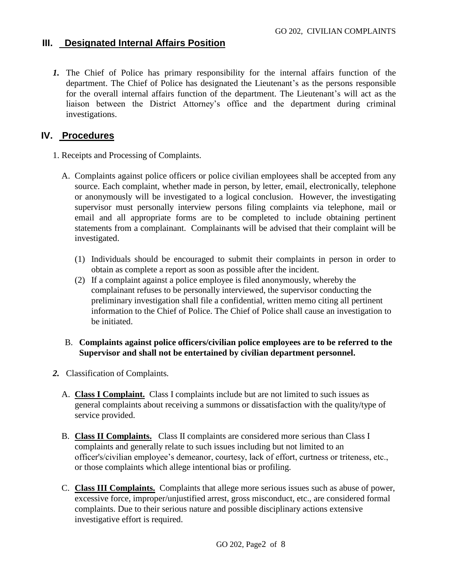### **III. Designated Internal Affairs Position**

*1.* The Chief of Police has primary responsibility for the internal affairs function of the department. The Chief of Police has designated the Lieutenant's as the persons responsible for the overall internal affairs function of the department. The Lieutenant's will act as the liaison between the District Attorney's office and the department during criminal investigations.

### **IV. Procedures**

- 1. Receipts and Processing of Complaints.
	- A. Complaints against police officers or police civilian employees shall be accepted from any source. Each complaint, whether made in person, by letter, email, electronically, telephone or anonymously will be investigated to a logical conclusion. However, the investigating supervisor must personally interview persons filing complaints via telephone, mail or email and all appropriate forms are to be completed to include obtaining pertinent statements from a complainant. Complainants will be advised that their complaint will be investigated.
		- (1) Individuals should be encouraged to submit their complaints in person in order to obtain as complete a report as soon as possible after the incident.
		- (2) If a complaint against a police employee is filed anonymously, whereby the complainant refuses to be personally interviewed, the supervisor conducting the preliminary investigation shall file a confidential, written memo citing all pertinent information to the Chief of Police. The Chief of Police shall cause an investigation to be initiated.

#### B. **Complaints against police officers/civilian police employees are to be referred to the Supervisor and shall not be entertained by civilian department personnel.**

- *2.* Classification of Complaints*.*
	- A. **Class I Complaint.** Class I complaints include but are not limited to such issues as general complaints about receiving a summons or dissatisfaction with the quality/type of service provided.
	- B. **Class II Complaints.** Class II complaints are considered more serious than Class I complaints and generally relate to such issues including but not limited to an officer's/civilian employee's demeanor, courtesy, lack of effort, curtness or triteness, etc., or those complaints which allege intentional bias or profiling.
	- C. **Class III Complaints.** Complaints that allege more serious issues such as abuse of power, excessive force, improper/unjustified arrest, gross misconduct, etc., are considered formal complaints. Due to their serious nature and possible disciplinary actions extensive investigative effort is required.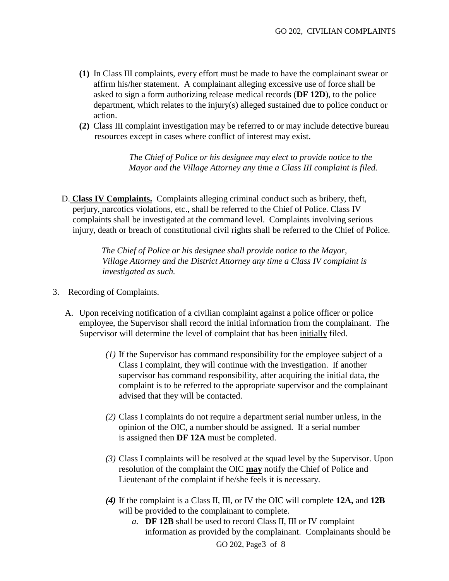- **(1)** In Class III complaints, every effort must be made to have the complainant swear or affirm his/her statement. A complainant alleging excessive use of force shall be asked to sign a form authorizing release medical records (**DF 12D**), to the police department, which relates to the injury(s) alleged sustained due to police conduct or action.
- **(2)** Class III complaint investigation may be referred to or may include detective bureau resources except in cases where conflict of interest may exist.

*The Chief of Police or his designee may elect to provide notice to the Mayor and the Village Attorney any time a Class III complaint is filed.*

D. **Class IV Complaints.** Complaints alleging criminal conduct such as bribery, theft, perjury, narcotics violations, etc., shall be referred to the Chief of Police. Class IV complaints shall be investigated at the command level. Complaints involving serious injury, death or breach of constitutional civil rights shall be referred to the Chief of Police.

> *The Chief of Police or his designee shall provide notice to the Mayor, Village Attorney and the District Attorney any time a Class IV complaint is investigated as such.*

- 3. Recording of Complaints.
	- A. Upon receiving notification of a civilian complaint against a police officer or police employee, the Supervisor shall record the initial information from the complainant. The Supervisor will determine the level of complaint that has been initially filed.
		- *(1)* If the Supervisor has command responsibility for the employee subject of a Class I complaint, they will continue with the investigation. If another supervisor has command responsibility, after acquiring the initial data, the complaint is to be referred to the appropriate supervisor and the complainant advised that they will be contacted.
		- *(2)* Class I complaints do not require a department serial number unless, in the opinion of the OIC, a number should be assigned. If a serial number is assigned then **DF 12A** must be completed.
		- *(3)* Class I complaints will be resolved at the squad level by the Supervisor. Upon resolution of the complaint the OIC **may** notify the Chief of Police and Lieutenant of the complaint if he/she feels it is necessary.
		- *(4)* If the complaint is a Class II, III, or IV the OIC will complete **12A,** and **12B** will be provided to the complainant to complete.
			- *a.* **DF 12B** shall be used to record Class II, III or IV complaint information as provided by the complainant. Complainants should be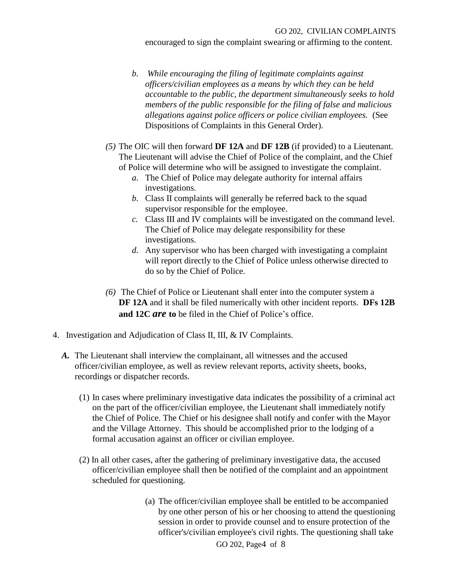encouraged to sign the complaint swearing or affirming to the content.

- *b. While encouraging the filing of legitimate complaints against officers/civilian employees as a means by which they can be held accountable to the public, the department simultaneously seeks to hold members of the public responsible for the filing of false and malicious allegations against police officers or police civilian employees.* (See Dispositions of Complaints in this General Order).
- *(5)* The OIC will then forward **DF 12A** and **DF 12B** (if provided) to a Lieutenant. The Lieutenant will advise the Chief of Police of the complaint, and the Chief of Police will determine who will be assigned to investigate the complaint.
	- *a.* The Chief of Police may delegate authority for internal affairs investigations.
	- *b.* Class II complaints will generally be referred back to the squad supervisor responsible for the employee.
	- *c.* Class III and IV complaints will be investigated on the command level. The Chief of Police may delegate responsibility for these investigations.
	- *d.* Any supervisor who has been charged with investigating a complaint will report directly to the Chief of Police unless otherwise directed to do so by the Chief of Police.
- *(6)* The Chief of Police or Lieutenant shall enter into the computer system a **DF 12A** and it shall be filed numerically with other incident reports. **DFs 12B and 12C** *are* **to** be filed in the Chief of Police's office.
- 4. Investigation and Adjudication of Class II, III, & IV Complaints.
	- *A.* The Lieutenant shall interview the complainant, all witnesses and the accused officer/civilian employee, as well as review relevant reports, activity sheets, books, recordings or dispatcher records.
		- (1) In cases where preliminary investigative data indicates the possibility of a criminal act on the part of the officer/civilian employee, the Lieutenant shall immediately notify the Chief of Police. The Chief or his designee shall notify and confer with the Mayor and the Village Attorney. This should be accomplished prior to the lodging of a formal accusation against an officer or civilian employee.
		- (2) In all other cases, after the gathering of preliminary investigative data, the accused officer/civilian employee shall then be notified of the complaint and an appointment scheduled for questioning.
			- (a) The officer/civilian employee shall be entitled to be accompanied by one other person of his or her choosing to attend the questioning session in order to provide counsel and to ensure protection of the officer's/civilian employee's civil rights. The questioning shall take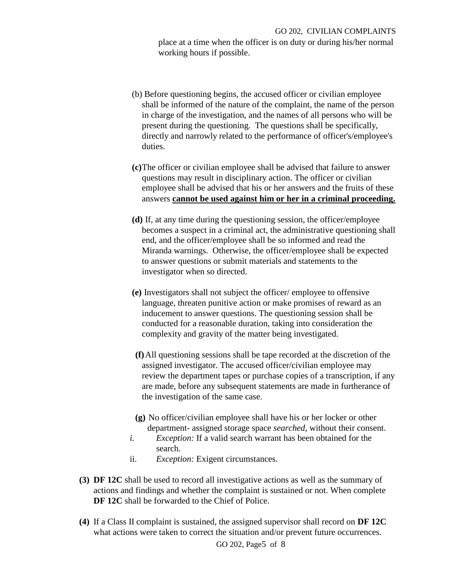place at a time when the officer is on duty or during his/her normal working hours if possible.

- (b) Before questioning begins, the accused officer or civilian employee shall be informed of the nature of the complaint, the name of the person in charge of the investigation, and the names of all persons who will be present during the questioning. The questions shall be specifically, directly and narrowly related to the performance of officer's/employee's duties.
- **(c)**The officer or civilian employee shall be advised that failure to answer questions may result in disciplinary action. The officer or civilian employee shall be advised that his or her answers and the fruits of these answers **cannot be used against him or her in a criminal proceeding.**
- **(d)** If, at any time during the questioning session, the officer/employee becomes a suspect in a criminal act, the administrative questioning shall end, and the officer/employee shall be so informed and read the Miranda warnings. Otherwise, the officer/employee shall be expected to answer questions or submit materials and statements to the investigator when so directed.
- **(e)** Investigators shall not subject the officer/ employee to offensive language, threaten punitive action or make promises of reward as an inducement to answer questions. The questioning session shall be conducted for a reasonable duration, taking into consideration the complexity and gravity of the matter being investigated.
- **(f)**All questioning sessions shall be tape recorded at the discretion of the assigned investigator. The accused officer/civilian employee may review the department tapes or purchase copies of a transcription, if any are made, before any subsequent statements are made in furtherance of the investigation of the same case.
- **(g)** No officer/civilian employee shall have his or her locker or other department- assigned storage space *searched*, without their consent.
- *i. Exception:* If a valid search warrant has been obtained for the search.
- ii. *Exception:* Exigent circumstances.
- **(3) DF 12C** shall be used to record all investigative actions as well as the summary of actions and findings and whether the complaint is sustained or not. When complete **DF 12C** shall be forwarded to the Chief of Police.
- **(4)** If a Class II complaint is sustained, the assigned supervisor shall record on **DF 12C** what actions were taken to correct the situation and/or prevent future occurrences.

GO 202, Page5 of 8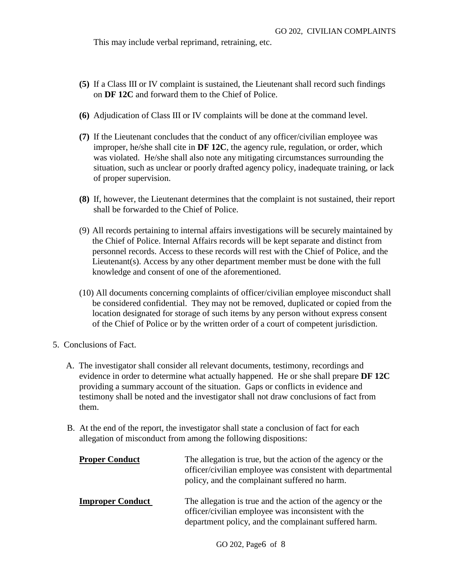This may include verbal reprimand, retraining, etc.

- **(5)** If a Class III or IV complaint is sustained, the Lieutenant shall record such findings on **DF 12C** and forward them to the Chief of Police.
- **(6)** Adjudication of Class III or IV complaints will be done at the command level.
- **(7)** If the Lieutenant concludes that the conduct of any officer/civilian employee was improper, he/she shall cite in **DF 12C**, the agency rule, regulation, or order, which was violated. He/she shall also note any mitigating circumstances surrounding the situation, such as unclear or poorly drafted agency policy, inadequate training, or lack of proper supervision.
- **(8)** If, however, the Lieutenant determines that the complaint is not sustained, their report shall be forwarded to the Chief of Police.
- (9) All records pertaining to internal affairs investigations will be securely maintained by the Chief of Police. Internal Affairs records will be kept separate and distinct from personnel records. Access to these records will rest with the Chief of Police, and the Lieutenant(s). Access by any other department member must be done with the full knowledge and consent of one of the aforementioned.
- (10) All documents concerning complaints of officer/civilian employee misconduct shall be considered confidential. They may not be removed, duplicated or copied from the location designated for storage of such items by any person without express consent of the Chief of Police or by the written order of a court of competent jurisdiction.
- 5. Conclusions of Fact.
	- A. The investigator shall consider all relevant documents, testimony, recordings and evidence in order to determine what actually happened. He or she shall prepare **DF 12C** providing a summary account of the situation. Gaps or conflicts in evidence and testimony shall be noted and the investigator shall not draw conclusions of fact from them.
	- B. At the end of the report, the investigator shall state a conclusion of fact for each allegation of misconduct from among the following dispositions:

| <b>Proper Conduct</b>   | The allegation is true, but the action of the agency or the<br>officer/civilian employee was consistent with departmental<br>policy, and the complainant suffered no harm. |
|-------------------------|----------------------------------------------------------------------------------------------------------------------------------------------------------------------------|
| <b>Improper Conduct</b> | The allegation is true and the action of the agency or the<br>officer/civilian employee was inconsistent with the<br>department policy, and the complainant suffered harm. |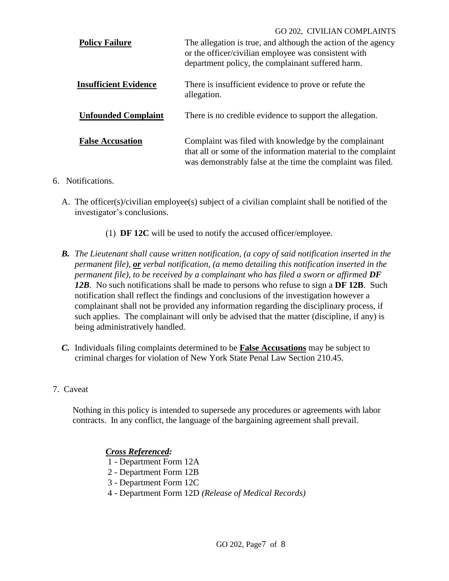|                              | GO 202, CIVILIAN COMPLAINTS                                   |
|------------------------------|---------------------------------------------------------------|
| <b>Policy Failure</b>        | The allegation is true, and although the action of the agency |
|                              | or the officer/civilian employee was consistent with          |
|                              | department policy, the complainant suffered harm.             |
| <b>Insufficient Evidence</b> | There is insufficient evidence to prove or refute the         |
|                              | allegation.                                                   |
|                              |                                                               |
| <b>Unfounded Complaint</b>   | There is no credible evidence to support the allegation.      |
|                              |                                                               |
| <b>False Accusation</b>      | Complaint was filed with knowledge by the complainant         |
|                              | that all or some of the information material to the complaint |
|                              | was demonstrably false at the time the complaint was filed.   |
|                              |                                                               |

#### 6. Notifications.

- A. The officer(s)/civilian employee(s) subject of a civilian complaint shall be notified of the investigator's conclusions.
	- (1) **DF 12C** will be used to notify the accused officer/employee.
- *B. The Lieutenant shall cause written notification, (a copy of said notification inserted in the permanent file), or verbal notification, (a memo detailing this notification inserted in the permanent file), to be received by a complainant who has filed a sworn or affirmed DF 12B.* No such notifications shall be made to persons who refuse to sign a **DF 12B**. Such notification shall reflect the findings and conclusions of the investigation however a complainant shall not be provided any information regarding the disciplinary process, if such applies. The complainant will only be advised that the matter (discipline, if any) is being administratively handled.
- *C.* Individuals filing complaints determined to be **False Accusations** may be subject to criminal charges for violation of New York State Penal Law Section 210.45.
- 7. Caveat

Nothing in this policy is intended to supersede any procedures or agreements with labor contracts. In any conflict, the language of the bargaining agreement shall prevail.

#### *Cross Referenced:*

- 1 Department Form 12A
- 2 Department Form 12B
- 3 Department Form 12C
- 4 Department Form 12D *(Release of Medical Records)*